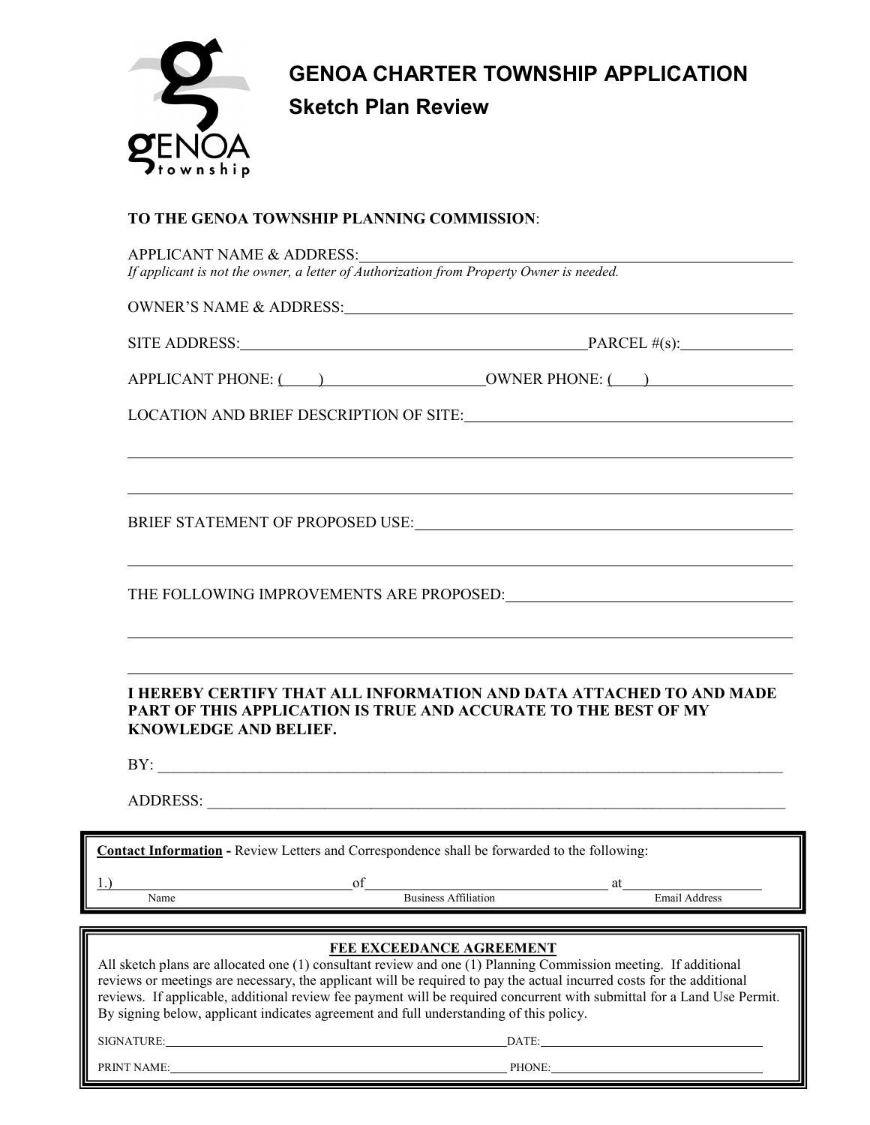

# **GENOA CHARTER TOWNSHIP APPLICATION Sketch Plan Review**

# **TO THE GENOA TOWNSHIP PLANNING COMMISSION**:

| SITE ADDRESS: $\qquad \qquad$ PARCEL #(s):<br>,我们也不会有什么。""我们的人,我们也不会有什么?""我们的人,我们也不会有什么?""我们的人,我们也不会有什么?""我们的人,我们也不会有什么?""我们的人<br>,我们也不会有什么。""我们的人,我们也不会有什么?""我们的人,我们也不会有什么?""我们的人,我们也不会有什么?""我们的人,我们也不会有什么?""我们的人<br>I HEREBY CERTIFY THAT ALL INFORMATION AND DATA ATTACHED TO AND MADE<br>PART OF THIS APPLICATION IS TRUE AND ACCURATE TO THE BEST OF MY<br><b>KNOWLEDGE AND BELIEF.</b><br>Contact Information - Review Letters and Correspondence shall be forwarded to the following:<br>$\overline{\text{of}}$<br>at<br><b>Business Affiliation</b><br>Email Address<br>Name<br>FEE EXCEEDANCE AGREEMENT<br>All sketch plans are allocated one (1) consultant review and one (1) Planning Commission meeting. If additional<br>reviews or meetings are necessary, the applicant will be required to pay the actual incurred costs for the additional<br>reviews. If applicable, additional review fee payment will be required concurrent with submittal for a Land Use Permit.<br>By signing below, applicant indicates agreement and full understanding of this policy.<br>DATE: |             | APPLICANT NAME & ADDRESS:<br>If applicant is not the owner, a letter of Authorization $\overline{from$ Property Owner is needed. |  |
|--------------------------------------------------------------------------------------------------------------------------------------------------------------------------------------------------------------------------------------------------------------------------------------------------------------------------------------------------------------------------------------------------------------------------------------------------------------------------------------------------------------------------------------------------------------------------------------------------------------------------------------------------------------------------------------------------------------------------------------------------------------------------------------------------------------------------------------------------------------------------------------------------------------------------------------------------------------------------------------------------------------------------------------------------------------------------------------------|-------------|----------------------------------------------------------------------------------------------------------------------------------|--|
|                                                                                                                                                                                                                                                                                                                                                                                                                                                                                                                                                                                                                                                                                                                                                                                                                                                                                                                                                                                                                                                                                            |             |                                                                                                                                  |  |
|                                                                                                                                                                                                                                                                                                                                                                                                                                                                                                                                                                                                                                                                                                                                                                                                                                                                                                                                                                                                                                                                                            |             |                                                                                                                                  |  |
|                                                                                                                                                                                                                                                                                                                                                                                                                                                                                                                                                                                                                                                                                                                                                                                                                                                                                                                                                                                                                                                                                            |             |                                                                                                                                  |  |
|                                                                                                                                                                                                                                                                                                                                                                                                                                                                                                                                                                                                                                                                                                                                                                                                                                                                                                                                                                                                                                                                                            |             |                                                                                                                                  |  |
|                                                                                                                                                                                                                                                                                                                                                                                                                                                                                                                                                                                                                                                                                                                                                                                                                                                                                                                                                                                                                                                                                            |             |                                                                                                                                  |  |
|                                                                                                                                                                                                                                                                                                                                                                                                                                                                                                                                                                                                                                                                                                                                                                                                                                                                                                                                                                                                                                                                                            |             |                                                                                                                                  |  |
|                                                                                                                                                                                                                                                                                                                                                                                                                                                                                                                                                                                                                                                                                                                                                                                                                                                                                                                                                                                                                                                                                            |             |                                                                                                                                  |  |
|                                                                                                                                                                                                                                                                                                                                                                                                                                                                                                                                                                                                                                                                                                                                                                                                                                                                                                                                                                                                                                                                                            |             |                                                                                                                                  |  |
|                                                                                                                                                                                                                                                                                                                                                                                                                                                                                                                                                                                                                                                                                                                                                                                                                                                                                                                                                                                                                                                                                            |             |                                                                                                                                  |  |
|                                                                                                                                                                                                                                                                                                                                                                                                                                                                                                                                                                                                                                                                                                                                                                                                                                                                                                                                                                                                                                                                                            |             |                                                                                                                                  |  |
|                                                                                                                                                                                                                                                                                                                                                                                                                                                                                                                                                                                                                                                                                                                                                                                                                                                                                                                                                                                                                                                                                            |             |                                                                                                                                  |  |
|                                                                                                                                                                                                                                                                                                                                                                                                                                                                                                                                                                                                                                                                                                                                                                                                                                                                                                                                                                                                                                                                                            | $1 \lambda$ |                                                                                                                                  |  |
|                                                                                                                                                                                                                                                                                                                                                                                                                                                                                                                                                                                                                                                                                                                                                                                                                                                                                                                                                                                                                                                                                            | SIGNATURE:  |                                                                                                                                  |  |

PRINT NAME: PHONE:

Page 1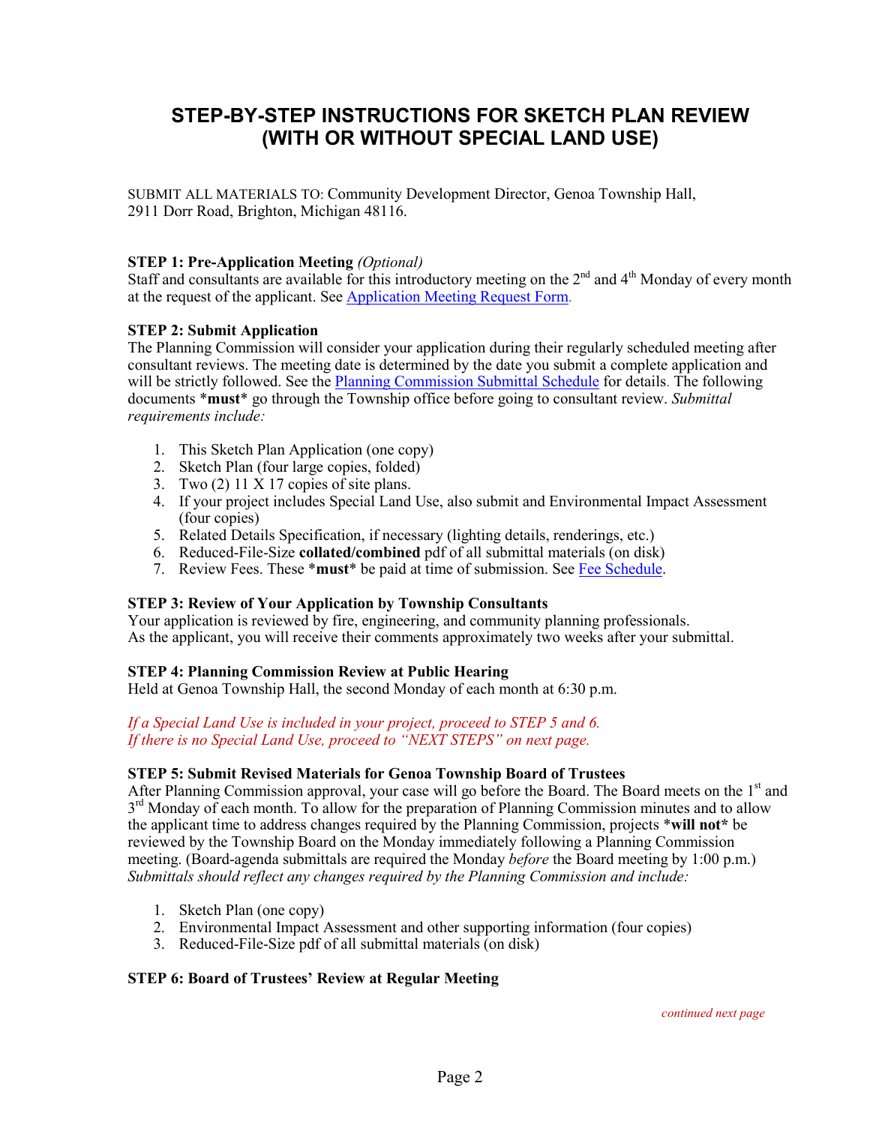# **STEP-BY-STEP INSTRUCTIONS FOR SKETCH PLAN REVIEW (WITH OR WITHOUT SPECIAL LAND USE)**

SUBMIT ALL MATERIALS TO: Community Development Director, Genoa Township Hall, 2911 Dorr Road, Brighton, Michigan 48116.

# **STEP 1: Pre-Application Meeting** *(Optional)*

Staff and consultants are available for this introductory meeting on the  $2<sup>nd</sup>$  and  $4<sup>th</sup>$  Monday of every month at the request of the applicant. See [Application Meeting Request Form.](http://genoa.org/contentfiledata/download/1469)

# **STEP 2: Submit Application**

The Planning Commission will consider your application during their regularly scheduled meeting after consultant reviews. The meeting date is determined by the date you submit a complete application and will be strictly followed. See th[e Planning Commission Submittal Schedule](http://genoa.org/contentfiledata/download/1310) for details. The following documents \***must**\* go through the Township office before going to consultant review. *Submittal requirements include:*

- 1. This Sketch Plan Application (one copy)
- 2. Sketch Plan (four large copies, folded)
- 3. Two  $(2)$  11 X 17 copies of site plans.
- 4. If your project includes Special Land Use, also submit and Environmental Impact Assessment (four copies)
- 5. Related Details Specification, if necessary (lighting details, renderings, etc.)
- 6. Reduced-File-Size **collated/combined** pdf of all submittal materials (on disk)
- 7. Review Fees. These \***must**\* be paid at time of submission. See [Fee Schedule.](http://www.genoa.org/contentfiledata/download/14)

# **STEP 3: Review of Your Application by Township Consultants**

Your application is reviewed by fire, engineering, and community planning professionals. As the applicant, you will receive their comments approximately two weeks after your submittal.

# **STEP 4: Planning Commission Review at Public Hearing**

Held at Genoa Township Hall, the second Monday of each month at 6:30 p.m.

#### *If a Special Land Use is included in your project, proceed to STEP 5 and 6. If there is no Special Land Use, proceed to "NEXT STEPS" on next page.*

# **STEP 5: Submit Revised Materials for Genoa Township Board of Trustees**

After Planning Commission approval, your case will go before the Board. The Board meets on the 1<sup>st</sup> and  $3<sup>rd</sup>$  Monday of each month. To allow for the preparation of Planning Commission minutes and to allow the applicant time to address changes required by the Planning Commission, projects \***will not\*** be reviewed by the Township Board on the Monday immediately following a Planning Commission meeting. (Board-agenda submittals are required the Monday *before* the Board meeting by 1:00 p.m.) *Submittals should reflect any changes required by the Planning Commission and include:*

- 1. Sketch Plan (one copy)
- 2. Environmental Impact Assessment and other supporting information (four copies)
- 3. Reduced-File-Size pdf of all submittal materials (on disk)

# **STEP 6: Board of Trustees' Review at Regular Meeting**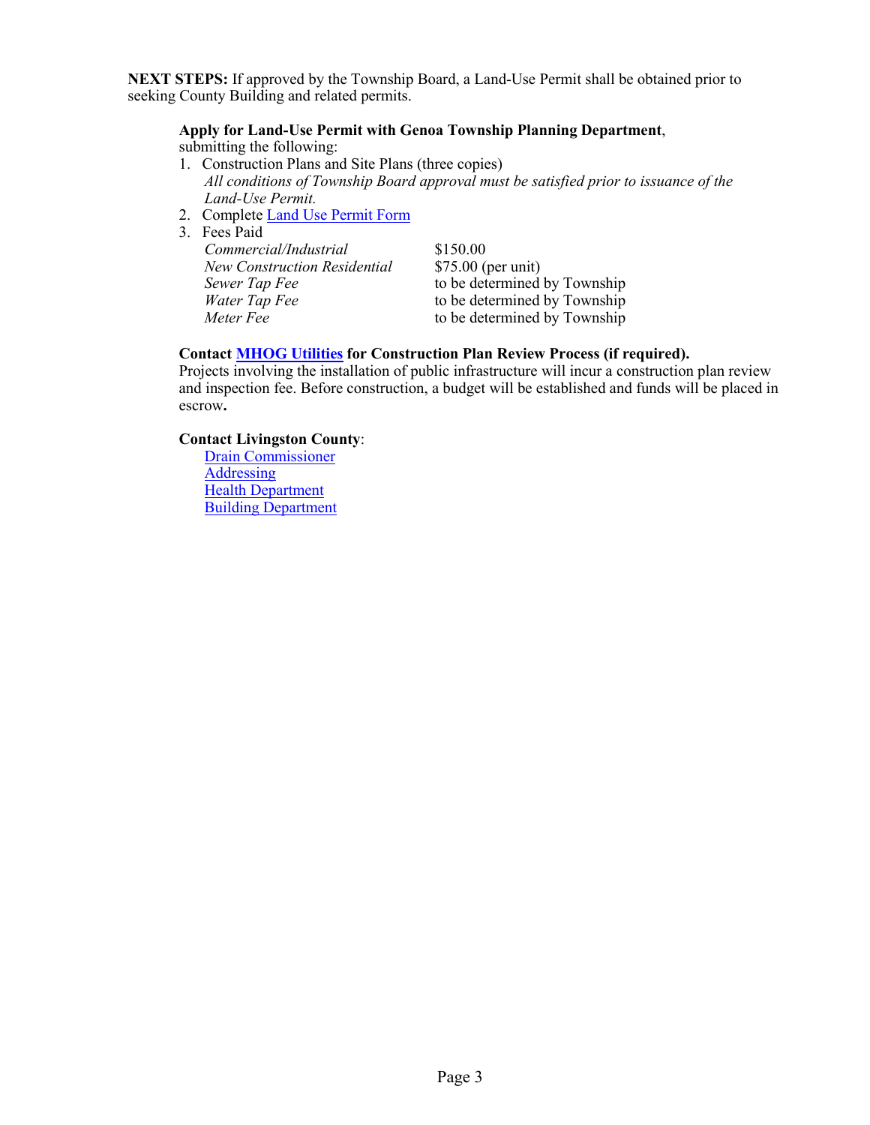**NEXT STEPS:** If approved by the Township Board, a Land-Use Permit shall be obtained prior to seeking County Building and related permits.

# **Apply for Land-Use Permit with Genoa Township Planning Department**,

- submitting the following:
- 1. Construction Plans and Site Plans (three copies) *All conditions of Township Board approval must be satisfied prior to issuance of the Land-Use Permit.*
- 2. Complete [Land Use Permit Form](http://www.genoa.org/contentfiledata/download/28)
- 3. Fees Paid

| Commercial/Industrial               | \$150.00                     |
|-------------------------------------|------------------------------|
| <b>New Construction Residential</b> | $$75.00$ (per unit)          |
| Sewer Tap Fee                       | to be determined by Township |
| Water Tap Fee                       | to be determined by Township |
| Meter Fee                           | to be determined by Township |

# **Contact [MHOG Utilities](http://www.genoa.org/departments/utilities) for Construction Plan Review Process (if required).**

Projects involving the installation of public infrastructure will incur a construction plan review and inspection fee. Before construction, a budget will be established and funds will be placed in escrow**.** 

#### **Contact Livingston County**:

[Drain Commissioner](http://www.livgov.com/drain/Pages/default.aspx) **[Addressing](http://www.livgov.com/gis/Pages/Addressing.aspx)** [Health Department](http://www.livgov.com/health/eh/Pages/default.aspx) **[Building Department](http://www.livgov.com/building/Pages/default.aspx)**